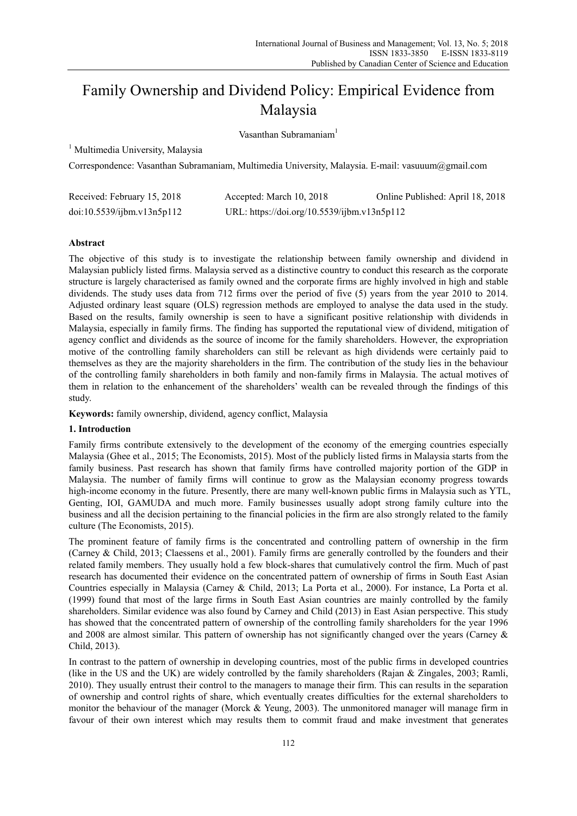# Family Ownership and Dividend Policy: Empirical Evidence from Malaysia

Vasanthan Subramaniam1

<sup>1</sup> Multimedia University, Malaysia

Correspondence: Vasanthan Subramaniam, Multimedia University, Malaysia. E-mail: vasuuum@gmail.com

| Received: February 15, 2018 | Accepted: March 10, 2018                    | Online Published: April 18, 2018 |
|-----------------------------|---------------------------------------------|----------------------------------|
| doi:10.5539/jbm.v13n5p112   | URL: https://doi.org/10.5539/ijbm.v13n5p112 |                                  |

# **Abstract**

The objective of this study is to investigate the relationship between family ownership and dividend in Malaysian publicly listed firms. Malaysia served as a distinctive country to conduct this research as the corporate structure is largely characterised as family owned and the corporate firms are highly involved in high and stable dividends. The study uses data from 712 firms over the period of five (5) years from the year 2010 to 2014. Adjusted ordinary least square (OLS) regression methods are employed to analyse the data used in the study. Based on the results, family ownership is seen to have a significant positive relationship with dividends in Malaysia, especially in family firms. The finding has supported the reputational view of dividend, mitigation of agency conflict and dividends as the source of income for the family shareholders. However, the expropriation motive of the controlling family shareholders can still be relevant as high dividends were certainly paid to themselves as they are the majority shareholders in the firm. The contribution of the study lies in the behaviour of the controlling family shareholders in both family and non-family firms in Malaysia. The actual motives of them in relation to the enhancement of the shareholders' wealth can be revealed through the findings of this study.

**Keywords:** family ownership, dividend, agency conflict, Malaysia

# **1. Introduction**

Family firms contribute extensively to the development of the economy of the emerging countries especially Malaysia (Ghee et al., 2015; The Economists, 2015). Most of the publicly listed firms in Malaysia starts from the family business. Past research has shown that family firms have controlled majority portion of the GDP in Malaysia. The number of family firms will continue to grow as the Malaysian economy progress towards high-income economy in the future. Presently, there are many well-known public firms in Malaysia such as YTL, Genting, IOI, GAMUDA and much more. Family businesses usually adopt strong family culture into the business and all the decision pertaining to the financial policies in the firm are also strongly related to the family culture (The Economists, 2015).

The prominent feature of family firms is the concentrated and controlling pattern of ownership in the firm (Carney & Child, 2013; Claessens et al., 2001). Family firms are generally controlled by the founders and their related family members. They usually hold a few block-shares that cumulatively control the firm. Much of past research has documented their evidence on the concentrated pattern of ownership of firms in South East Asian Countries especially in Malaysia (Carney & Child, 2013; La Porta et al., 2000). For instance, La Porta et al. (1999) found that most of the large firms in South East Asian countries are mainly controlled by the family shareholders. Similar evidence was also found by Carney and Child (2013) in East Asian perspective. This study has showed that the concentrated pattern of ownership of the controlling family shareholders for the year 1996 and 2008 are almost similar. This pattern of ownership has not significantly changed over the years (Carney & Child, 2013).

In contrast to the pattern of ownership in developing countries, most of the public firms in developed countries (like in the US and the UK) are widely controlled by the family shareholders (Rajan & Zingales, 2003; Ramli, 2010). They usually entrust their control to the managers to manage their firm. This can results in the separation of ownership and control rights of share, which eventually creates difficulties for the external shareholders to monitor the behaviour of the manager (Morck & Yeung, 2003). The unmonitored manager will manage firm in favour of their own interest which may results them to commit fraud and make investment that generates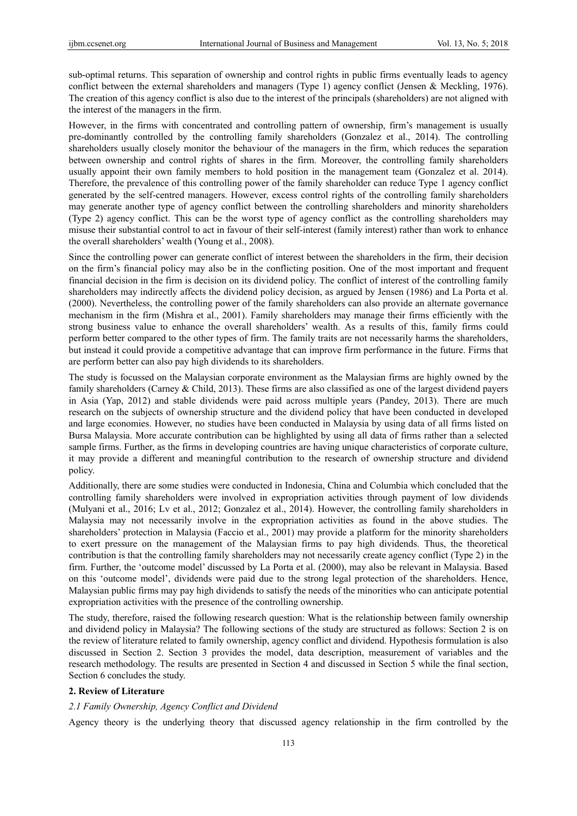sub-optimal returns. This separation of ownership and control rights in public firms eventually leads to agency conflict between the external shareholders and managers (Type 1) agency conflict (Jensen & Meckling, 1976). The creation of this agency conflict is also due to the interest of the principals (shareholders) are not aligned with the interest of the managers in the firm.

However, in the firms with concentrated and controlling pattern of ownership, firm's management is usually pre-dominantly controlled by the controlling family shareholders (Gonzalez et al., 2014). The controlling shareholders usually closely monitor the behaviour of the managers in the firm, which reduces the separation between ownership and control rights of shares in the firm. Moreover, the controlling family shareholders usually appoint their own family members to hold position in the management team (Gonzalez et al. 2014). Therefore, the prevalence of this controlling power of the family shareholder can reduce Type 1 agency conflict generated by the self-centred managers. However, excess control rights of the controlling family shareholders may generate another type of agency conflict between the controlling shareholders and minority shareholders (Type 2) agency conflict. This can be the worst type of agency conflict as the controlling shareholders may misuse their substantial control to act in favour of their self-interest (family interest) rather than work to enhance the overall shareholders' wealth (Young et al., 2008).

Since the controlling power can generate conflict of interest between the shareholders in the firm, their decision on the firm's financial policy may also be in the conflicting position. One of the most important and frequent financial decision in the firm is decision on its dividend policy. The conflict of interest of the controlling family shareholders may indirectly affects the dividend policy decision, as argued by Jensen (1986) and La Porta et al. (2000). Nevertheless, the controlling power of the family shareholders can also provide an alternate governance mechanism in the firm (Mishra et al., 2001). Family shareholders may manage their firms efficiently with the strong business value to enhance the overall shareholders' wealth. As a results of this, family firms could perform better compared to the other types of firm. The family traits are not necessarily harms the shareholders, but instead it could provide a competitive advantage that can improve firm performance in the future. Firms that are perform better can also pay high dividends to its shareholders.

The study is focussed on the Malaysian corporate environment as the Malaysian firms are highly owned by the family shareholders (Carney & Child, 2013). These firms are also classified as one of the largest dividend payers in Asia (Yap, 2012) and stable dividends were paid across multiple years (Pandey, 2013). There are much research on the subjects of ownership structure and the dividend policy that have been conducted in developed and large economies. However, no studies have been conducted in Malaysia by using data of all firms listed on Bursa Malaysia. More accurate contribution can be highlighted by using all data of firms rather than a selected sample firms. Further, as the firms in developing countries are having unique characteristics of corporate culture, it may provide a different and meaningful contribution to the research of ownership structure and dividend policy.

Additionally, there are some studies were conducted in Indonesia, China and Columbia which concluded that the controlling family shareholders were involved in expropriation activities through payment of low dividends (Mulyani et al., 2016; Lv et al., 2012; Gonzalez et al., 2014). However, the controlling family shareholders in Malaysia may not necessarily involve in the expropriation activities as found in the above studies. The shareholders' protection in Malaysia (Faccio et al., 2001) may provide a platform for the minority shareholders to exert pressure on the management of the Malaysian firms to pay high dividends. Thus, the theoretical contribution is that the controlling family shareholders may not necessarily create agency conflict (Type 2) in the firm. Further, the 'outcome model' discussed by La Porta et al. (2000), may also be relevant in Malaysia. Based on this 'outcome model', dividends were paid due to the strong legal protection of the shareholders. Hence, Malaysian public firms may pay high dividends to satisfy the needs of the minorities who can anticipate potential expropriation activities with the presence of the controlling ownership.

The study, therefore, raised the following research question: What is the relationship between family ownership and dividend policy in Malaysia? The following sections of the study are structured as follows: Section 2 is on the review of literature related to family ownership, agency conflict and dividend. Hypothesis formulation is also discussed in Section 2. Section 3 provides the model, data description, measurement of variables and the research methodology. The results are presented in Section 4 and discussed in Section 5 while the final section, Section 6 concludes the study.

#### **2. Review of Literature**

#### *2.1 Family Ownership, Agency Conflict and Dividend*

Agency theory is the underlying theory that discussed agency relationship in the firm controlled by the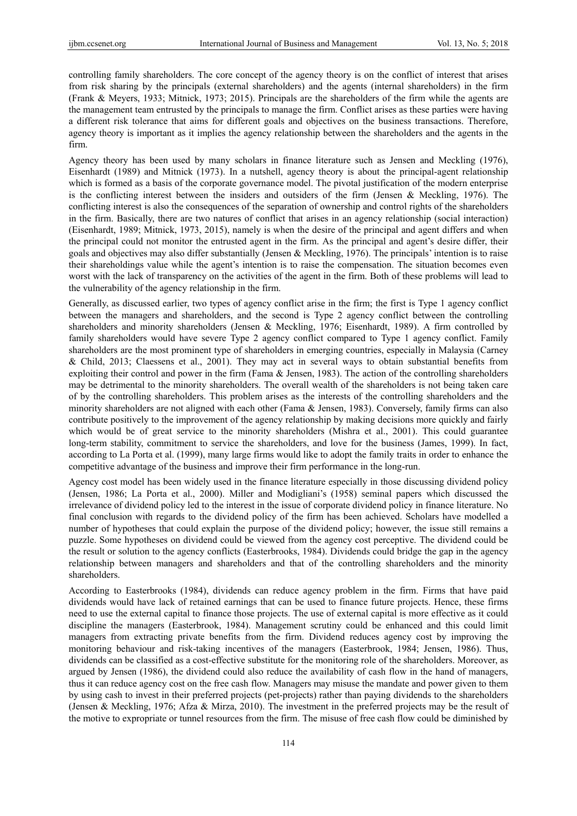controlling family shareholders. The core concept of the agency theory is on the conflict of interest that arises from risk sharing by the principals (external shareholders) and the agents (internal shareholders) in the firm (Frank & Meyers, 1933; Mitnick, 1973; 2015). Principals are the shareholders of the firm while the agents are the management team entrusted by the principals to manage the firm. Conflict arises as these parties were having a different risk tolerance that aims for different goals and objectives on the business transactions. Therefore, agency theory is important as it implies the agency relationship between the shareholders and the agents in the firm.

Agency theory has been used by many scholars in finance literature such as Jensen and Meckling (1976), Eisenhardt (1989) and Mitnick (1973). In a nutshell, agency theory is about the principal-agent relationship which is formed as a basis of the corporate governance model. The pivotal justification of the modern enterprise is the conflicting interest between the insiders and outsiders of the firm (Jensen & Meckling, 1976). The conflicting interest is also the consequences of the separation of ownership and control rights of the shareholders in the firm. Basically, there are two natures of conflict that arises in an agency relationship (social interaction) (Eisenhardt, 1989; Mitnick, 1973, 2015), namely is when the desire of the principal and agent differs and when the principal could not monitor the entrusted agent in the firm. As the principal and agent's desire differ, their goals and objectives may also differ substantially (Jensen & Meckling, 1976). The principals' intention is to raise their shareholdings value while the agent's intention is to raise the compensation. The situation becomes even worst with the lack of transparency on the activities of the agent in the firm. Both of these problems will lead to the vulnerability of the agency relationship in the firm.

Generally, as discussed earlier, two types of agency conflict arise in the firm; the first is Type 1 agency conflict between the managers and shareholders, and the second is Type 2 agency conflict between the controlling shareholders and minority shareholders (Jensen & Meckling, 1976; Eisenhardt, 1989). A firm controlled by family shareholders would have severe Type 2 agency conflict compared to Type 1 agency conflict. Family shareholders are the most prominent type of shareholders in emerging countries, especially in Malaysia (Carney & Child, 2013; Claessens et al., 2001). They may act in several ways to obtain substantial benefits from exploiting their control and power in the firm (Fama & Jensen, 1983). The action of the controlling shareholders may be detrimental to the minority shareholders. The overall wealth of the shareholders is not being taken care of by the controlling shareholders. This problem arises as the interests of the controlling shareholders and the minority shareholders are not aligned with each other (Fama & Jensen, 1983). Conversely, family firms can also contribute positively to the improvement of the agency relationship by making decisions more quickly and fairly which would be of great service to the minority shareholders (Mishra et al., 2001). This could guarantee long-term stability, commitment to service the shareholders, and love for the business (James, 1999). In fact, according to La Porta et al. (1999), many large firms would like to adopt the family traits in order to enhance the competitive advantage of the business and improve their firm performance in the long-run.

Agency cost model has been widely used in the finance literature especially in those discussing dividend policy (Jensen, 1986; La Porta et al., 2000). Miller and Modigliani's (1958) seminal papers which discussed the irrelevance of dividend policy led to the interest in the issue of corporate dividend policy in finance literature. No final conclusion with regards to the dividend policy of the firm has been achieved. Scholars have modelled a number of hypotheses that could explain the purpose of the dividend policy; however, the issue still remains a puzzle. Some hypotheses on dividend could be viewed from the agency cost perceptive. The dividend could be the result or solution to the agency conflicts (Easterbrooks, 1984). Dividends could bridge the gap in the agency relationship between managers and shareholders and that of the controlling shareholders and the minority shareholders.

According to Easterbrooks (1984), dividends can reduce agency problem in the firm. Firms that have paid dividends would have lack of retained earnings that can be used to finance future projects. Hence, these firms need to use the external capital to finance those projects. The use of external capital is more effective as it could discipline the managers (Easterbrook, 1984). Management scrutiny could be enhanced and this could limit managers from extracting private benefits from the firm. Dividend reduces agency cost by improving the monitoring behaviour and risk-taking incentives of the managers (Easterbrook, 1984; Jensen, 1986). Thus, dividends can be classified as a cost-effective substitute for the monitoring role of the shareholders. Moreover, as argued by Jensen (1986), the dividend could also reduce the availability of cash flow in the hand of managers, thus it can reduce agency cost on the free cash flow. Managers may misuse the mandate and power given to them by using cash to invest in their preferred projects (pet-projects) rather than paying dividends to the shareholders (Jensen & Meckling, 1976; Afza & Mirza, 2010). The investment in the preferred projects may be the result of the motive to expropriate or tunnel resources from the firm. The misuse of free cash flow could be diminished by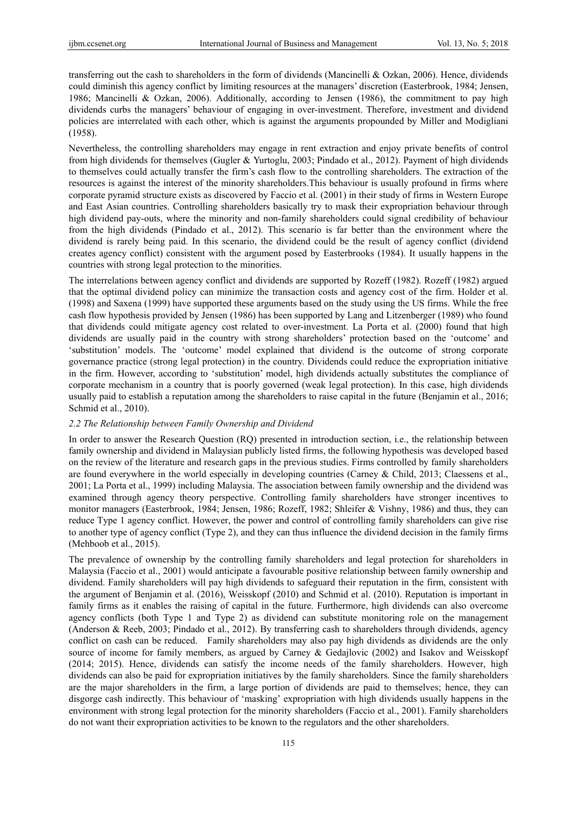transferring out the cash to shareholders in the form of dividends (Mancinelli & Ozkan, 2006). Hence, dividends could diminish this agency conflict by limiting resources at the managers' discretion (Easterbrook, 1984; Jensen, 1986; Mancinelli & Ozkan, 2006). Additionally, according to Jensen (1986), the commitment to pay high dividends curbs the managers' behaviour of engaging in over-investment. Therefore, investment and dividend policies are interrelated with each other, which is against the arguments propounded by Miller and Modigliani (1958).

Nevertheless, the controlling shareholders may engage in rent extraction and enjoy private benefits of control from high dividends for themselves (Gugler & Yurtoglu, 2003; Pindado et al., 2012). Payment of high dividends to themselves could actually transfer the firm's cash flow to the controlling shareholders. The extraction of the resources is against the interest of the minority shareholders.This behaviour is usually profound in firms where corporate pyramid structure exists as discovered by Faccio et al. (2001) in their study of firms in Western Europe and East Asian countries. Controlling shareholders basically try to mask their expropriation behaviour through high dividend pay-outs, where the minority and non-family shareholders could signal credibility of behaviour from the high dividends (Pindado et al., 2012). This scenario is far better than the environment where the dividend is rarely being paid. In this scenario, the dividend could be the result of agency conflict (dividend creates agency conflict) consistent with the argument posed by Easterbrooks (1984). It usually happens in the countries with strong legal protection to the minorities.

The interrelations between agency conflict and dividends are supported by Rozeff (1982). Rozeff (1982) argued that the optimal dividend policy can minimize the transaction costs and agency cost of the firm. Holder et al. (1998) and Saxena (1999) have supported these arguments based on the study using the US firms. While the free cash flow hypothesis provided by Jensen (1986) has been supported by Lang and Litzenberger (1989) who found that dividends could mitigate agency cost related to over-investment. La Porta et al. (2000) found that high dividends are usually paid in the country with strong shareholders' protection based on the 'outcome' and 'substitution' models. The 'outcome' model explained that dividend is the outcome of strong corporate governance practice (strong legal protection) in the country. Dividends could reduce the expropriation initiative in the firm. However, according to 'substitution' model, high dividends actually substitutes the compliance of corporate mechanism in a country that is poorly governed (weak legal protection). In this case, high dividends usually paid to establish a reputation among the shareholders to raise capital in the future (Benjamin et al., 2016; Schmid et al., 2010).

#### *2.2 The Relationship between Family Ownership and Dividend*

In order to answer the Research Question (RQ) presented in introduction section, i.e., the relationship between family ownership and dividend in Malaysian publicly listed firms, the following hypothesis was developed based on the review of the literature and research gaps in the previous studies. Firms controlled by family shareholders are found everywhere in the world especially in developing countries (Carney & Child, 2013; Claessens et al., 2001; La Porta et al., 1999) including Malaysia. The association between family ownership and the dividend was examined through agency theory perspective. Controlling family shareholders have stronger incentives to monitor managers (Easterbrook, 1984; Jensen, 1986; Rozeff, 1982; Shleifer & Vishny, 1986) and thus, they can reduce Type 1 agency conflict. However, the power and control of controlling family shareholders can give rise to another type of agency conflict (Type 2), and they can thus influence the dividend decision in the family firms (Mehboob et al., 2015).

The prevalence of ownership by the controlling family shareholders and legal protection for shareholders in Malaysia (Faccio et al., 2001) would anticipate a favourable positive relationship between family ownership and dividend. Family shareholders will pay high dividends to safeguard their reputation in the firm, consistent with the argument of Benjamin et al. (2016), Weisskopf (2010) and Schmid et al. (2010). Reputation is important in family firms as it enables the raising of capital in the future. Furthermore, high dividends can also overcome agency conflicts (both Type 1 and Type 2) as dividend can substitute monitoring role on the management (Anderson & Reeb, 2003; Pindado et al., 2012). By transferring cash to shareholders through dividends, agency conflict on cash can be reduced. Family shareholders may also pay high dividends as dividends are the only source of income for family members, as argued by Carney & Gedajlovic (2002) and Isakov and Weisskopf (2014; 2015). Hence, dividends can satisfy the income needs of the family shareholders. However, high dividends can also be paid for expropriation initiatives by the family shareholders. Since the family shareholders are the major shareholders in the firm, a large portion of dividends are paid to themselves; hence, they can disgorge cash indirectly. This behaviour of 'masking' expropriation with high dividends usually happens in the environment with strong legal protection for the minority shareholders (Faccio et al., 2001). Family shareholders do not want their expropriation activities to be known to the regulators and the other shareholders.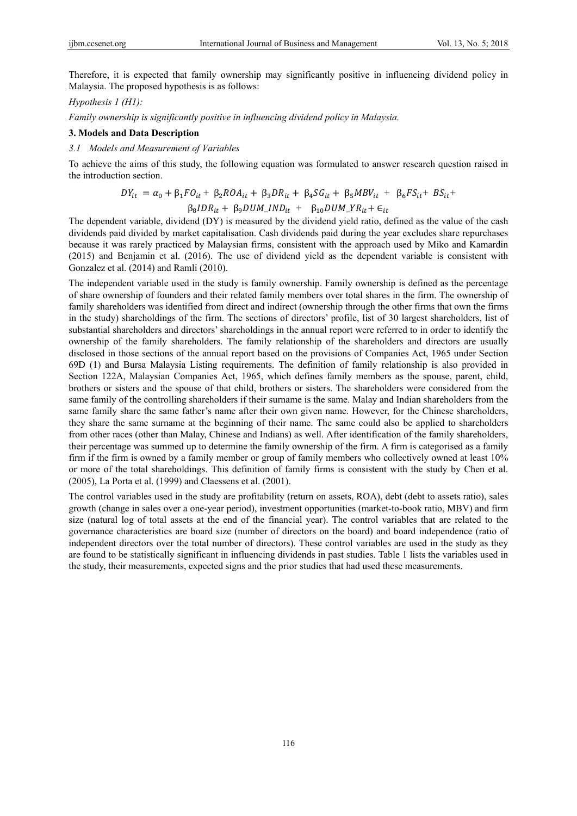Therefore, it is expected that family ownership may significantly positive in influencing dividend policy in Malaysia. The proposed hypothesis is as follows:

# *Hypothesis 1 (H1):*

*Family ownership is significantly positive in influencing dividend policy in Malaysia.* 

## **3. Models and Data Description**

#### *3.1 Models and Measurement of Variables*

To achieve the aims of this study, the following equation was formulated to answer research question raised in the introduction section.

$$
DY_{it} = \alpha_0 + \beta_1 FO_{it} + \beta_2 ROA_{it} + \beta_3 DR_{it} + \beta_4 SG_{it} + \beta_5 MBV_{it} + \beta_6 FS_{it} + BS_{it} +
$$
  

$$
\beta_8 IDR_{it} + \beta_9 DUM\_IND_{it} + \beta_{10} DUM\_YR_{it} + \epsilon_{it}
$$

The dependent variable, dividend (DY) is measured by the dividend yield ratio, defined as the value of the cash dividends paid divided by market capitalisation. Cash dividends paid during the year excludes share repurchases because it was rarely practiced by Malaysian firms, consistent with the approach used by Miko and Kamardin (2015) and Benjamin et al. (2016). The use of dividend yield as the dependent variable is consistent with Gonzalez et al. (2014) and Ramli (2010).

The independent variable used in the study is family ownership. Family ownership is defined as the percentage of share ownership of founders and their related family members over total shares in the firm. The ownership of family shareholders was identified from direct and indirect (ownership through the other firms that own the firms in the study) shareholdings of the firm. The sections of directors' profile, list of 30 largest shareholders, list of substantial shareholders and directors' shareholdings in the annual report were referred to in order to identify the ownership of the family shareholders. The family relationship of the shareholders and directors are usually disclosed in those sections of the annual report based on the provisions of Companies Act, 1965 under Section 69D (1) and Bursa Malaysia Listing requirements. The definition of family relationship is also provided in Section 122A, Malaysian Companies Act, 1965, which defines family members as the spouse, parent, child, brothers or sisters and the spouse of that child, brothers or sisters. The shareholders were considered from the same family of the controlling shareholders if their surname is the same. Malay and Indian shareholders from the same family share the same father's name after their own given name. However, for the Chinese shareholders, they share the same surname at the beginning of their name. The same could also be applied to shareholders from other races (other than Malay, Chinese and Indians) as well. After identification of the family shareholders, their percentage was summed up to determine the family ownership of the firm. A firm is categorised as a family firm if the firm is owned by a family member or group of family members who collectively owned at least 10% or more of the total shareholdings. This definition of family firms is consistent with the study by Chen et al. (2005), La Porta et al. (1999) and Claessens et al. (2001).

The control variables used in the study are profitability (return on assets, ROA), debt (debt to assets ratio), sales growth (change in sales over a one-year period), investment opportunities (market-to-book ratio, MBV) and firm size (natural log of total assets at the end of the financial year). The control variables that are related to the governance characteristics are board size (number of directors on the board) and board independence (ratio of independent directors over the total number of directors). These control variables are used in the study as they are found to be statistically significant in influencing dividends in past studies. Table 1 lists the variables used in the study, their measurements, expected signs and the prior studies that had used these measurements.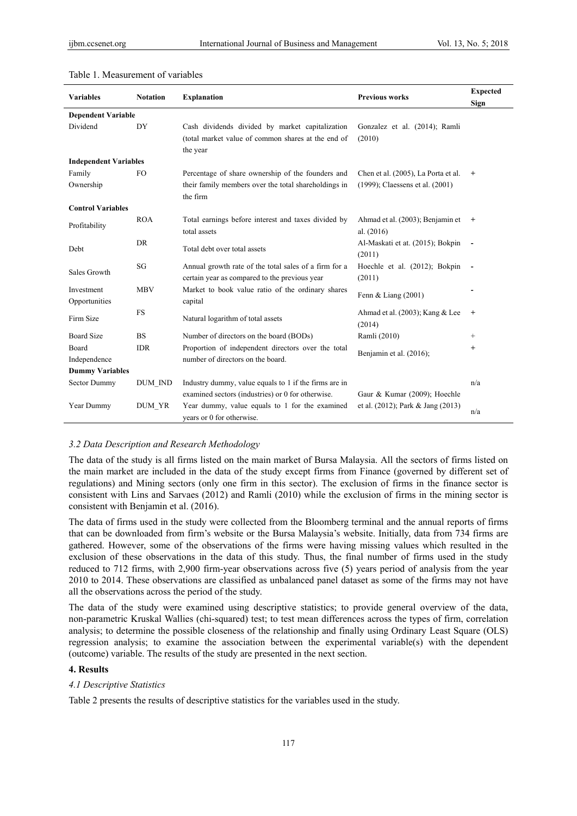| <b>Variables</b>             | <b>Notation</b> | <b>Explanation</b>                                                                                                    | <b>Previous works</b>                                                  | <b>Expected</b><br>Sign |
|------------------------------|-----------------|-----------------------------------------------------------------------------------------------------------------------|------------------------------------------------------------------------|-------------------------|
| <b>Dependent Variable</b>    |                 |                                                                                                                       |                                                                        |                         |
| Dividend                     | DY              | Cash dividends divided by market capitalization<br>(total market value of common shares at the end of<br>the year     | Gonzalez et al. (2014); Ramli<br>(2010)                                |                         |
| <b>Independent Variables</b> |                 |                                                                                                                       |                                                                        |                         |
| Family<br>Ownership          | <b>FO</b>       | Percentage of share ownership of the founders and<br>their family members over the total shareholdings in<br>the firm | Chen et al. (2005), La Porta et al.<br>(1999); Claessens et al. (2001) | $^{+}$                  |
| <b>Control Variables</b>     |                 |                                                                                                                       |                                                                        |                         |
| Profitability                | <b>ROA</b>      | Total earnings before interest and taxes divided by<br>total assets                                                   | Ahmad et al. (2003); Benjamin et<br>al. $(2016)$                       | $^{+}$                  |
| Debt                         | DR              | Total debt over total assets                                                                                          | Al-Maskati et at. (2015); Bokpin<br>(2011)                             |                         |
| Sales Growth                 | SG              | Annual growth rate of the total sales of a firm for a<br>certain year as compared to the previous year                | Hoechle et al. (2012); Bokpin<br>(2011)                                |                         |
| Investment<br>Opportunities  | <b>MBV</b>      | Market to book value ratio of the ordinary shares<br>capital                                                          | Fenn & Liang $(2001)$                                                  |                         |
| Firm Size                    | FS              | Natural logarithm of total assets                                                                                     | Ahmad et al. (2003); Kang & Lee<br>(2014)                              | $\ddot{}$               |
| <b>Board Size</b>            | <b>BS</b>       | Number of directors on the board (BODs)                                                                               | Ramli (2010)                                                           | $^{+}$                  |
| Board<br>Independence        | <b>IDR</b>      | Proportion of independent directors over the total<br>number of directors on the board.                               | Benjamin et al. (2016);                                                | $^{+}$                  |
| <b>Dummy Variables</b>       |                 |                                                                                                                       |                                                                        |                         |
| Sector Dummy                 | DUM IND         | Industry dummy, value equals to 1 if the firms are in<br>examined sectors (industries) or 0 for otherwise.            | Gaur & Kumar (2009); Hoechle                                           | n/a                     |
| Year Dummy                   | DUM YR          | Year dummy, value equals to 1 for the examined<br>years or 0 for otherwise.                                           | et al. (2012); Park & Jang (2013)                                      | n/a                     |

# Table 1. Measurement of variables

#### *3.2 Data Description and Research Methodology*

The data of the study is all firms listed on the main market of Bursa Malaysia. All the sectors of firms listed on the main market are included in the data of the study except firms from Finance (governed by different set of regulations) and Mining sectors (only one firm in this sector). The exclusion of firms in the finance sector is consistent with Lins and Sarvaes (2012) and Ramli (2010) while the exclusion of firms in the mining sector is consistent with Benjamin et al. (2016).

The data of firms used in the study were collected from the Bloomberg terminal and the annual reports of firms that can be downloaded from firm's website or the Bursa Malaysia's website. Initially, data from 734 firms are gathered. However, some of the observations of the firms were having missing values which resulted in the exclusion of these observations in the data of this study. Thus, the final number of firms used in the study reduced to 712 firms, with 2,900 firm-year observations across five (5) years period of analysis from the year 2010 to 2014. These observations are classified as unbalanced panel dataset as some of the firms may not have all the observations across the period of the study.

The data of the study were examined using descriptive statistics; to provide general overview of the data, non-parametric Kruskal Wallies (chi-squared) test; to test mean differences across the types of firm, correlation analysis; to determine the possible closeness of the relationship and finally using Ordinary Least Square (OLS) regression analysis; to examine the association between the experimental variable(s) with the dependent (outcome) variable. The results of the study are presented in the next section.

#### **4. Results**

### *4.1 Descriptive Statistics*

Table 2 presents the results of descriptive statistics for the variables used in the study.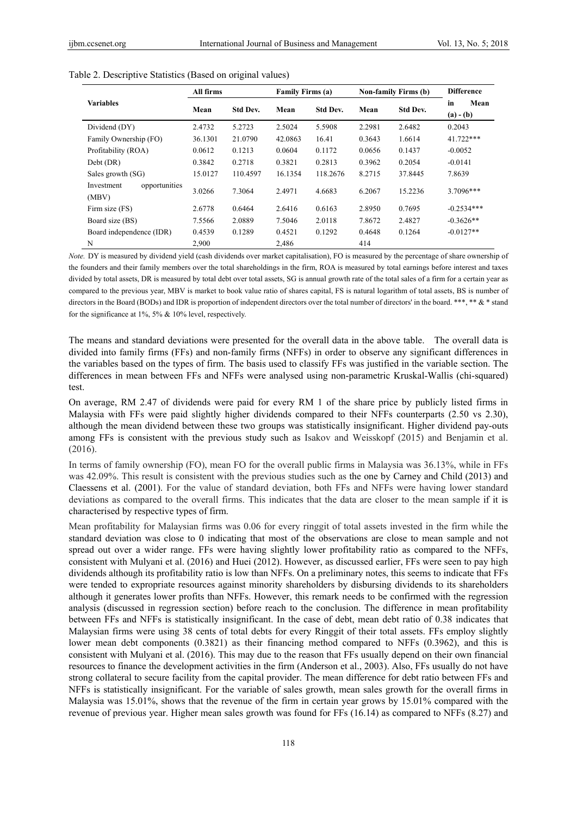|                                      | All firms<br><b>Family Firms (a)</b> |                 |         | <b>Non-family Firms (b)</b> |        | <b>Difference</b> |                           |
|--------------------------------------|--------------------------------------|-----------------|---------|-----------------------------|--------|-------------------|---------------------------|
| <b>Variables</b>                     | Mean                                 | <b>Std Dev.</b> | Mean    | <b>Std Dev.</b>             | Mean   | <b>Std Dev.</b>   | in<br>Mean<br>$(a) - (b)$ |
| Dividend (DY)                        | 2.4732                               | 5.2723          | 2.5024  | 5.5908                      | 2.2981 | 2.6482            | 0.2043                    |
| Family Ownership (FO)                | 36.1301                              | 21.0790         | 42.0863 | 16.41                       | 0.3643 | 1.6614            | 41.722***                 |
| Profitability (ROA)                  | 0.0612                               | 0.1213          | 0.0604  | 0.1172                      | 0.0656 | 0.1437            | $-0.0052$                 |
| $Debt$ ( $DR$ )                      | 0.3842                               | 0.2718          | 0.3821  | 0.2813                      | 0.3962 | 0.2054            | $-0.0141$                 |
| Sales growth (SG)                    | 15.0127                              | 110.4597        | 16.1354 | 118.2676                    | 8.2715 | 37.8445           | 7.8639                    |
| Investment<br>opportunities<br>(MBV) | 3.0266                               | 7.3064          | 2.4971  | 4.6683                      | 6.2067 | 15.2236           | 3.7096***                 |
| Firm size (FS)                       | 2.6778                               | 0.6464          | 2.6416  | 0.6163                      | 2.8950 | 0.7695            | $-0.2534***$              |
| Board size (BS)                      | 7.5566                               | 2.0889          | 7.5046  | 2.0118                      | 7.8672 | 2.4827            | $-0.3626**$               |
| Board independence (IDR)             | 0.4539                               | 0.1289          | 0.4521  | 0.1292                      | 0.4648 | 0.1264            | $-0.0127**$               |
| N                                    | 2,900                                |                 | 2,486   |                             | 414    |                   |                           |

| Table 2. Descriptive Statistics (Based on original values) |  |  |  |
|------------------------------------------------------------|--|--|--|
|                                                            |  |  |  |

*Note.* DY is measured by dividend yield (cash dividends over market capitalisation), FO is measured by the percentage of share ownership of the founders and their family members over the total shareholdings in the firm, ROA is measured by total earnings before interest and taxes divided by total assets, DR is measured by total debt over total assets, SG is annual growth rate of the total sales of a firm for a certain year as compared to the previous year, MBV is market to book value ratio of shares capital, FS is natural logarithm of total assets, BS is number of directors in the Board (BODs) and IDR is proportion of independent directors over the total number of directors' in the board. \*\*\*, \*\* & \* stand for the significance at 1%, 5% & 10% level, respectively.

The means and standard deviations were presented for the overall data in the above table. The overall data is divided into family firms (FFs) and non-family firms (NFFs) in order to observe any significant differences in the variables based on the types of firm. The basis used to classify FFs was justified in the variable section. The differences in mean between FFs and NFFs were analysed using non-parametric Kruskal-Wallis (chi-squared) test.

On average, RM 2.47 of dividends were paid for every RM 1 of the share price by publicly listed firms in Malaysia with FFs were paid slightly higher dividends compared to their NFFs counterparts (2.50 vs 2.30), although the mean dividend between these two groups was statistically insignificant. Higher dividend pay-outs among FFs is consistent with the previous study such as Isakov and Weisskopf (2015) and Benjamin et al. (2016).

In terms of family ownership (FO), mean FO for the overall public firms in Malaysia was 36.13%, while in FFs was 42.09%. This result is consistent with the previous studies such as the one by Carney and Child (2013) and Claessens et al. (2001). For the value of standard deviation, both FFs and NFFs were having lower standard deviations as compared to the overall firms. This indicates that the data are closer to the mean sample if it is characterised by respective types of firm.

Mean profitability for Malaysian firms was 0.06 for every ringgit of total assets invested in the firm while the standard deviation was close to 0 indicating that most of the observations are close to mean sample and not spread out over a wider range. FFs were having slightly lower profitability ratio as compared to the NFFs, consistent with Mulyani et al. (2016) and Huei (2012). However, as discussed earlier, FFs were seen to pay high dividends although its profitability ratio is low than NFFs. On a preliminary notes, this seems to indicate that FFs were tended to expropriate resources against minority shareholders by disbursing dividends to its shareholders although it generates lower profits than NFFs. However, this remark needs to be confirmed with the regression analysis (discussed in regression section) before reach to the conclusion. The difference in mean profitability between FFs and NFFs is statistically insignificant. In the case of debt, mean debt ratio of 0.38 indicates that Malaysian firms were using 38 cents of total debts for every Ringgit of their total assets. FFs employ slightly lower mean debt components (0.3821) as their financing method compared to NFFs (0.3962), and this is consistent with Mulyani et al. (2016). This may due to the reason that FFs usually depend on their own financial resources to finance the development activities in the firm (Anderson et al., 2003). Also, FFs usually do not have strong collateral to secure facility from the capital provider. The mean difference for debt ratio between FFs and NFFs is statistically insignificant. For the variable of sales growth, mean sales growth for the overall firms in Malaysia was 15.01%, shows that the revenue of the firm in certain year grows by 15.01% compared with the revenue of previous year. Higher mean sales growth was found for FFs (16.14) as compared to NFFs (8.27) and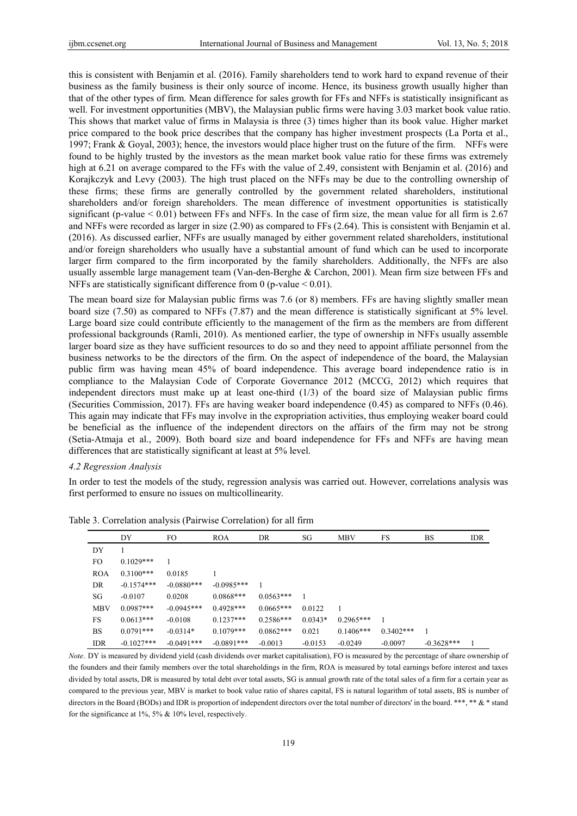this is consistent with Benjamin et al. (2016). Family shareholders tend to work hard to expand revenue of their business as the family business is their only source of income. Hence, its business growth usually higher than that of the other types of firm. Mean difference for sales growth for FFs and NFFs is statistically insignificant as well. For investment opportunities (MBV), the Malaysian public firms were having 3.03 market book value ratio. This shows that market value of firms in Malaysia is three (3) times higher than its book value. Higher market price compared to the book price describes that the company has higher investment prospects (La Porta et al., 1997; Frank & Goyal, 2003); hence, the investors would place higher trust on the future of the firm. NFFs were found to be highly trusted by the investors as the mean market book value ratio for these firms was extremely high at 6.21 on average compared to the FFs with the value of 2.49, consistent with Benjamin et al. (2016) and Korajkczyk and Levy (2003). The high trust placed on the NFFs may be due to the controlling ownership of these firms; these firms are generally controlled by the government related shareholders, institutional shareholders and/or foreign shareholders. The mean difference of investment opportunities is statistically significant (p-value  $0.01$ ) between FFs and NFFs. In the case of firm size, the mean value for all firm is 2.67 and NFFs were recorded as larger in size (2.90) as compared to FFs (2.64). This is consistent with Benjamin et al. (2016). As discussed earlier, NFFs are usually managed by either government related shareholders, institutional and/or foreign shareholders who usually have a substantial amount of fund which can be used to incorporate larger firm compared to the firm incorporated by the family shareholders. Additionally, the NFFs are also usually assemble large management team (Van-den-Berghe & Carchon, 2001). Mean firm size between FFs and NFFs are statistically significant difference from 0 (p-value  $< 0.01$ ).

The mean board size for Malaysian public firms was 7.6 (or 8) members. FFs are having slightly smaller mean board size (7.50) as compared to NFFs (7.87) and the mean difference is statistically significant at 5% level. Large board size could contribute efficiently to the management of the firm as the members are from different professional backgrounds (Ramli, 2010). As mentioned earlier, the type of ownership in NFFs usually assemble larger board size as they have sufficient resources to do so and they need to appoint affiliate personnel from the business networks to be the directors of the firm. On the aspect of independence of the board, the Malaysian public firm was having mean 45% of board independence. This average board independence ratio is in compliance to the Malaysian Code of Corporate Governance 2012 (MCCG, 2012) which requires that independent directors must make up at least one-third (1/3) of the board size of Malaysian public firms (Securities Commission, 2017). FFs are having weaker board independence (0.45) as compared to NFFs (0.46). This again may indicate that FFs may involve in the expropriation activities, thus employing weaker board could be beneficial as the influence of the independent directors on the affairs of the firm may not be strong (Setia-Atmaja et al., 2009). Both board size and board independence for FFs and NFFs are having mean differences that are statistically significant at least at 5% level.

#### *4.2 Regression Analysis*

In order to test the models of the study, regression analysis was carried out. However, correlations analysis was first performed to ensure no issues on multicollinearity.

|            | DY            | FO.          | <b>ROA</b>   | DR          | SG        | <b>MBV</b>  | FS          | <b>BS</b>    | <b>IDR</b> |
|------------|---------------|--------------|--------------|-------------|-----------|-------------|-------------|--------------|------------|
| DY         |               |              |              |             |           |             |             |              |            |
| FO.        | $0.1029***$   |              |              |             |           |             |             |              |            |
| <b>ROA</b> | $0.3100***$   | 0.0185       |              |             |           |             |             |              |            |
| DR         | $-0.1574***$  | $-0.0880***$ | $-0.0985***$ | -1          |           |             |             |              |            |
| SG         | $-0.0107$     | 0.0208       | $0.0868***$  | $0.0563***$ | -1        |             |             |              |            |
| <b>MBV</b> | $0.0987***$   | $-0.0945***$ | $0.4928***$  | $0.0665***$ | 0.0122    |             |             |              |            |
| FS         | $0.0613***$   | $-0.0108$    | $0.1237***$  | $0.2586***$ | $0.0343*$ | $0.2965***$ |             |              |            |
| BS.        | $0.0791***$   | $-0.0314*$   | $0.1079***$  | $0.0862***$ | 0.021     | $0.1406***$ | $0.3402***$ |              |            |
| <b>IDR</b> | $-0.1027$ *** | $-0.0491***$ | $-0.0891***$ | $-0.0013$   | $-0.0153$ | $-0.0249$   | $-0.0097$   | $-0.3628***$ |            |

Table 3. Correlation analysis (Pairwise Correlation) for all firm

*Note*. DY is measured by dividend yield (cash dividends over market capitalisation), FO is measured by the percentage of share ownership of the founders and their family members over the total shareholdings in the firm, ROA is measured by total earnings before interest and taxes divided by total assets, DR is measured by total debt over total assets, SG is annual growth rate of the total sales of a firm for a certain year as compared to the previous year, MBV is market to book value ratio of shares capital, FS is natural logarithm of total assets, BS is number of directors in the Board (BODs) and IDR is proportion of independent directors over the total number of directors' in the board. \*\*\*, \*\* & \* stand for the significance at 1%, 5% & 10% level, respectively.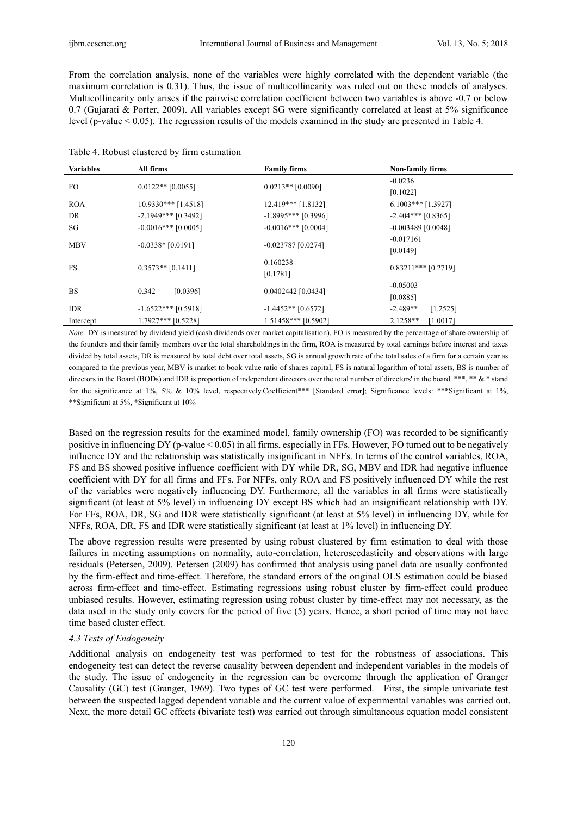From the correlation analysis, none of the variables were highly correlated with the dependent variable (the maximum correlation is 0.31). Thus, the issue of multicollinearity was ruled out on these models of analyses. Multicollinearity only arises if the pairwise correlation coefficient between two variables is above -0.7 or below 0.7 (Gujarati & Porter, 2009). All variables except SG were significantly correlated at least at 5% significance level (p-value < 0.05). The regression results of the models examined in the study are presented in Table 4.

|  |  | Table 4. Robust clustered by firm estimation |
|--|--|----------------------------------------------|
|  |  |                                              |

| <b>Variables</b> | All firms              | <b>Family firms</b>    | Non-family firms       |  |
|------------------|------------------------|------------------------|------------------------|--|
|                  |                        |                        | $-0.0236$              |  |
| FO.              | $0.0122**$ [0.0055]    | $0.0213**$ [0.0090]    | [0.1022]               |  |
| <b>ROA</b>       | $10.9330***$ [1.4518]  | 12.419*** [1.8132]     | $6.1003***$ [1.3927]   |  |
| DR               | $-2.1949***$ [0.3492]  | $-1.8995***$ [0.3996]  | $-2.404***$ [0.8365]   |  |
| SG               | $-0.0016$ *** [0.0005] | $-0.0016$ *** [0.0004] | $-0.003489$ [0.0048]   |  |
|                  |                        |                        | $-0.017161$            |  |
| <b>MBV</b>       | $-0.0338*$ [0.0191]    | $-0.023787$ [0.0274]   | [0.0149]               |  |
|                  |                        | 0.160238               |                        |  |
| FS.              | $0.3573**$ [0.1411]    | [0.1781]               | $0.83211***$ [0.2719]  |  |
|                  | 0.342<br>[0.0396]      | $0.0402442$ [0.0434]   | $-0.05003$             |  |
| <b>BS</b>        |                        |                        | [0.0885]               |  |
| <b>IDR</b>       | $-1.6522***$ [0.5918]  | $-1.4452**$ [0.6572]   | $-2.489**$<br>[1.2525] |  |
| Intercept        | $1.7927***$ [0.5228]   | $1.51458***$ [0.5902]  | $2.1258**$<br>[1.0017] |  |

*Note.* DY is measured by dividend yield (cash dividends over market capitalisation), FO is measured by the percentage of share ownership of the founders and their family members over the total shareholdings in the firm, ROA is measured by total earnings before interest and taxes divided by total assets, DR is measured by total debt over total assets, SG is annual growth rate of the total sales of a firm for a certain year as compared to the previous year, MBV is market to book value ratio of shares capital, FS is natural logarithm of total assets, BS is number of directors in the Board (BODs) and IDR is proportion of independent directors over the total number of directors' in the board. \*\*\*, \*\* & \* stand for the significance at 1%, 5% & 10% level, respectively.Coefficient\*\*\* [Standard error]; Significance levels: \*\*\*Significant at 1%, \*\*Significant at 5%, \*Significant at 10%

Based on the regression results for the examined model, family ownership (FO) was recorded to be significantly positive in influencing DY (p-value < 0.05) in all firms, especially in FFs. However, FO turned out to be negatively influence DY and the relationship was statistically insignificant in NFFs. In terms of the control variables, ROA, FS and BS showed positive influence coefficient with DY while DR, SG, MBV and IDR had negative influence coefficient with DY for all firms and FFs. For NFFs, only ROA and FS positively influenced DY while the rest of the variables were negatively influencing DY. Furthermore, all the variables in all firms were statistically significant (at least at 5% level) in influencing DY except BS which had an insignificant relationship with DY. For FFs, ROA, DR, SG and IDR were statistically significant (at least at 5% level) in influencing DY, while for NFFs, ROA, DR, FS and IDR were statistically significant (at least at 1% level) in influencing DY.

The above regression results were presented by using robust clustered by firm estimation to deal with those failures in meeting assumptions on normality, auto-correlation, heteroscedasticity and observations with large residuals (Petersen, 2009). Petersen (2009) has confirmed that analysis using panel data are usually confronted by the firm-effect and time-effect. Therefore, the standard errors of the original OLS estimation could be biased across firm-effect and time-effect. Estimating regressions using robust cluster by firm-effect could produce unbiased results. However, estimating regression using robust cluster by time-effect may not necessary, as the data used in the study only covers for the period of five (5) years. Hence, a short period of time may not have time based cluster effect.

#### *4.3 Tests of Endogeneity*

Additional analysis on endogeneity test was performed to test for the robustness of associations. This endogeneity test can detect the reverse causality between dependent and independent variables in the models of the study. The issue of endogeneity in the regression can be overcome through the application of Granger Causality (GC) test (Granger, 1969). Two types of GC test were performed. First, the simple univariate test between the suspected lagged dependent variable and the current value of experimental variables was carried out. Next, the more detail GC effects (bivariate test) was carried out through simultaneous equation model consistent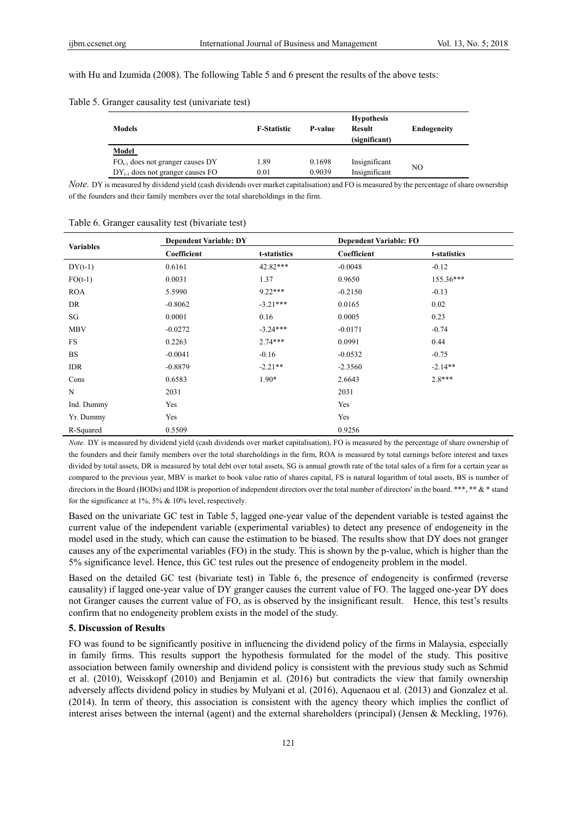with Hu and Izumida (2008). The following Table 5 and 6 present the results of the above tests:

| <b>Models</b>                         | <b>F-Statistic</b> | P-value | <b>Hypothesis</b><br><b>Result</b><br>(significant) | <b>Endogeneity</b> |
|---------------------------------------|--------------------|---------|-----------------------------------------------------|--------------------|
| Model                                 |                    |         |                                                     |                    |
| $FO_{t-1}$ does not granger causes DY | 1.89               | 0.1698  | Insignificant                                       | NO                 |
| $DY_{t-1}$ does not granger causes FO | 0.01               | 0.9039  | Insignificant                                       |                    |

*Note.* DY is measured by dividend yield (cash dividends over market capitalisation) and FO is measured by the percentage of share ownership of the founders and their family members over the total shareholdings in the firm.

| <b>Variables</b> | <b>Dependent Variable: DY</b> |              | <b>Dependent Variable: FO</b> |              |
|------------------|-------------------------------|--------------|-------------------------------|--------------|
|                  | Coefficient                   | t-statistics | Coefficient                   | t-statistics |
| $DY(t-1)$        | 0.6161                        | 42.82***     | $-0.0048$                     | $-0.12$      |
| $FO(t-1)$        | 0.0031                        | 1.37         | 0.9650                        | 155.36***    |
| <b>ROA</b>       | 5.5990                        | $9.22***$    | $-0.2150$                     | $-0.13$      |
| DR               | $-0.8062$                     | $-3.21***$   | 0.0165                        | 0.02         |
| SG               | 0.0001                        | 0.16         | 0.0005                        | 0.23         |
| <b>MBV</b>       | $-0.0272$                     | $-3.24***$   | $-0.0171$                     | $-0.74$      |
| FS               | 0.2263                        | $2.74***$    | 0.0991                        | 0.44         |
| <b>BS</b>        | $-0.0041$                     | $-0.16$      | $-0.0532$                     | $-0.75$      |
| <b>IDR</b>       | $-0.8879$                     | $-2.21**$    | $-2.3560$                     | $-2.14**$    |
| Cons             | 0.6583                        | 1.90*        | 2.6643                        | $2.8***$     |
| N                | 2031                          |              | 2031                          |              |
| Ind. Dummy       | Yes                           |              | Yes                           |              |
| Yr. Dummy        | Yes                           |              | Yes                           |              |
| R-Squared        | 0.5509                        |              | 0.9256                        |              |

Table 6. Granger causality test (bivariate test)

*Note.* DY is measured by dividend yield (cash dividends over market capitalisation), FO is measured by the percentage of share ownership of the founders and their family members over the total shareholdings in the firm, ROA is measured by total earnings before interest and taxes divided by total assets, DR is measured by total debt over total assets, SG is annual growth rate of the total sales of a firm for a certain year as compared to the previous year, MBV is market to book value ratio of shares capital, FS is natural logarithm of total assets, BS is number of directors in the Board (BODs) and IDR is proportion of independent directors over the total number of directors' in the board. \*\*\*, \*\* & \* stand for the significance at 1%, 5% & 10% level, respectively.

Based on the univariate GC test in Table 5, lagged one-year value of the dependent variable is tested against the current value of the independent variable (experimental variables) to detect any presence of endogeneity in the model used in the study, which can cause the estimation to be biased. The results show that DY does not granger causes any of the experimental variables (FO) in the study. This is shown by the p-value, which is higher than the 5% significance level. Hence, this GC test rules out the presence of endogeneity problem in the model.

Based on the detailed GC test (bivariate test) in Table 6, the presence of endogeneity is confirmed (reverse causality) if lagged one-year value of DY granger causes the current value of FO. The lagged one-year DY does not Granger causes the current value of FO, as is observed by the insignificant result. Hence, this test's results confirm that no endogeneity problem exists in the model of the study.

## **5. Discussion of Results**

FO was found to be significantly positive in influencing the dividend policy of the firms in Malaysia, especially in family firms. This results support the hypothesis formulated for the model of the study. This positive association between family ownership and dividend policy is consistent with the previous study such as Schmid et al. (2010), Weisskopf (2010) and Benjamin et al. (2016) but contradicts the view that family ownership adversely affects dividend policy in studies by Mulyani et al. (2016), Aquenaou et al. (2013) and Gonzalez et al. (2014). In term of theory, this association is consistent with the agency theory which implies the conflict of interest arises between the internal (agent) and the external shareholders (principal) (Jensen & Meckling, 1976).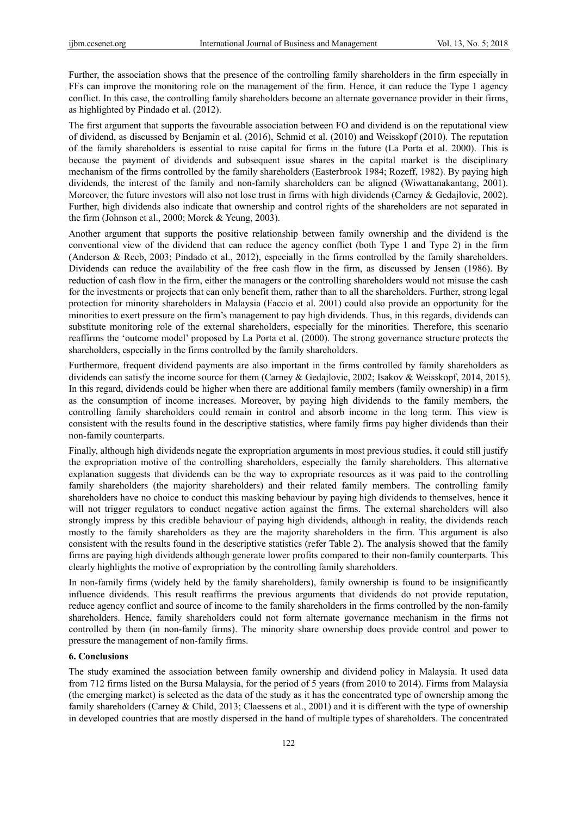Further, the association shows that the presence of the controlling family shareholders in the firm especially in FFs can improve the monitoring role on the management of the firm. Hence, it can reduce the Type 1 agency conflict. In this case, the controlling family shareholders become an alternate governance provider in their firms, as highlighted by Pindado et al. (2012).

The first argument that supports the favourable association between FO and dividend is on the reputational view of dividend, as discussed by Benjamin et al. (2016), Schmid et al. (2010) and Weisskopf (2010). The reputation of the family shareholders is essential to raise capital for firms in the future (La Porta et al. 2000). This is because the payment of dividends and subsequent issue shares in the capital market is the disciplinary mechanism of the firms controlled by the family shareholders (Easterbrook 1984; Rozeff, 1982). By paying high dividends, the interest of the family and non-family shareholders can be aligned (Wiwattanakantang, 2001). Moreover, the future investors will also not lose trust in firms with high dividends (Carney & Gedajlovic, 2002). Further, high dividends also indicate that ownership and control rights of the shareholders are not separated in the firm (Johnson et al., 2000; Morck & Yeung, 2003).

Another argument that supports the positive relationship between family ownership and the dividend is the conventional view of the dividend that can reduce the agency conflict (both Type 1 and Type 2) in the firm (Anderson & Reeb, 2003; Pindado et al., 2012), especially in the firms controlled by the family shareholders. Dividends can reduce the availability of the free cash flow in the firm, as discussed by Jensen (1986). By reduction of cash flow in the firm, either the managers or the controlling shareholders would not misuse the cash for the investments or projects that can only benefit them, rather than to all the shareholders. Further, strong legal protection for minority shareholders in Malaysia (Faccio et al. 2001) could also provide an opportunity for the minorities to exert pressure on the firm's management to pay high dividends. Thus, in this regards, dividends can substitute monitoring role of the external shareholders, especially for the minorities. Therefore, this scenario reaffirms the 'outcome model' proposed by La Porta et al. (2000). The strong governance structure protects the shareholders, especially in the firms controlled by the family shareholders.

Furthermore, frequent dividend payments are also important in the firms controlled by family shareholders as dividends can satisfy the income source for them (Carney & Gedajlovic, 2002; Isakov & Weisskopf, 2014, 2015). In this regard, dividends could be higher when there are additional family members (family ownership) in a firm as the consumption of income increases. Moreover, by paying high dividends to the family members, the controlling family shareholders could remain in control and absorb income in the long term. This view is consistent with the results found in the descriptive statistics, where family firms pay higher dividends than their non-family counterparts.

Finally, although high dividends negate the expropriation arguments in most previous studies, it could still justify the expropriation motive of the controlling shareholders, especially the family shareholders. This alternative explanation suggests that dividends can be the way to expropriate resources as it was paid to the controlling family shareholders (the majority shareholders) and their related family members. The controlling family shareholders have no choice to conduct this masking behaviour by paying high dividends to themselves, hence it will not trigger regulators to conduct negative action against the firms. The external shareholders will also strongly impress by this credible behaviour of paying high dividends, although in reality, the dividends reach mostly to the family shareholders as they are the majority shareholders in the firm. This argument is also consistent with the results found in the descriptive statistics (refer Table 2). The analysis showed that the family firms are paying high dividends although generate lower profits compared to their non-family counterparts. This clearly highlights the motive of expropriation by the controlling family shareholders.

In non-family firms (widely held by the family shareholders), family ownership is found to be insignificantly influence dividends. This result reaffirms the previous arguments that dividends do not provide reputation, reduce agency conflict and source of income to the family shareholders in the firms controlled by the non-family shareholders. Hence, family shareholders could not form alternate governance mechanism in the firms not controlled by them (in non-family firms). The minority share ownership does provide control and power to pressure the management of non-family firms.

# **6. Conclusions**

The study examined the association between family ownership and dividend policy in Malaysia. It used data from 712 firms listed on the Bursa Malaysia, for the period of 5 years (from 2010 to 2014). Firms from Malaysia (the emerging market) is selected as the data of the study as it has the concentrated type of ownership among the family shareholders (Carney & Child, 2013; Claessens et al., 2001) and it is different with the type of ownership in developed countries that are mostly dispersed in the hand of multiple types of shareholders. The concentrated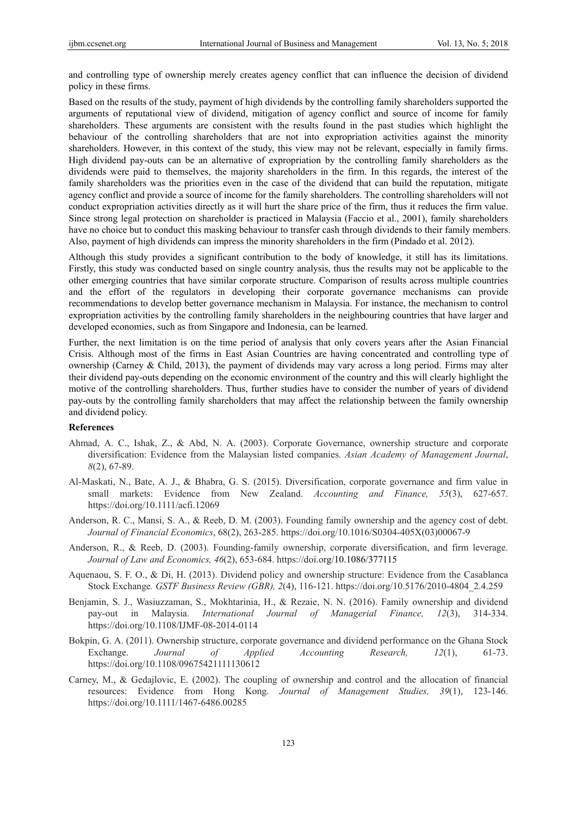and controlling type of ownership merely creates agency conflict that can influence the decision of dividend policy in these firms.

Based on the results of the study, payment of high dividends by the controlling family shareholders supported the arguments of reputational view of dividend, mitigation of agency conflict and source of income for family shareholders. These arguments are consistent with the results found in the past studies which highlight the behaviour of the controlling shareholders that are not into expropriation activities against the minority shareholders. However, in this context of the study, this view may not be relevant, especially in family firms. High dividend pay-outs can be an alternative of expropriation by the controlling family shareholders as the dividends were paid to themselves, the majority shareholders in the firm. In this regards, the interest of the family shareholders was the priorities even in the case of the dividend that can build the reputation, mitigate agency conflict and provide a source of income for the family shareholders. The controlling shareholders will not conduct expropriation activities directly as it will hurt the share price of the firm, thus it reduces the firm value. Since strong legal protection on shareholder is practiced in Malaysia (Faccio et al., 2001), family shareholders have no choice but to conduct this masking behaviour to transfer cash through dividends to their family members. Also, payment of high dividends can impress the minority shareholders in the firm (Pindado et al. 2012).

Although this study provides a significant contribution to the body of knowledge, it still has its limitations. Firstly, this study was conducted based on single country analysis, thus the results may not be applicable to the other emerging countries that have similar corporate structure. Comparison of results across multiple countries and the effort of the regulators in developing their corporate governance mechanisms can provide recommendations to develop better governance mechanism in Malaysia. For instance, the mechanism to control expropriation activities by the controlling family shareholders in the neighbouring countries that have larger and developed economies, such as from Singapore and Indonesia, can be learned.

Further, the next limitation is on the time period of analysis that only covers years after the Asian Financial Crisis. Although most of the firms in East Asian Countries are having concentrated and controlling type of ownership (Carney & Child, 2013), the payment of dividends may vary across a long period. Firms may alter their dividend pay-outs depending on the economic environment of the country and this will clearly highlight the motive of the controlling shareholders. Thus, further studies have to consider the number of years of dividend pay-outs by the controlling family shareholders that may affect the relationship between the family ownership and dividend policy.

# **References**

- Ahmad, A. C., Ishak, Z., & Abd, N. A. (2003). Corporate Governance, ownership structure and corporate diversification: Evidence from the Malaysian listed companies. *Asian Academy of Management Journal*, *8*(2), 67-89.
- Al‐Maskati, N., Bate, A. J., & Bhabra, G. S. (2015). Diversification, corporate governance and firm value in small markets: Evidence from New Zealand. *Accounting and Finance, 55*(3), 627-657. https://doi.org/10.1111/acfi.12069
- Anderson, R. C., Mansi, S. A., & Reeb, D. M. (2003). Founding family ownership and the agency cost of debt. *Journal of Financial Economics*, 68(2), 263-285. https://doi.org/10.1016/S0304-405X(03)00067-9
- Anderson, R., & Reeb, D. (2003). Founding-family ownership, corporate diversification, and firm leverage. *Journal of Law and Economics, 46*(2), 653-684. https://doi.org/10.1086/377115
- Aquenaou, S. F. O., & Di, H. (2013). Dividend policy and ownership structure: Evidence from the Casablanca Stock Exchange*. GSTF Business Review (GBR), 2*(4), 116-121. https://doi.org/10.5176/2010-4804\_2.4.259
- Benjamin, S. J., Wasiuzzaman, S., Mokhtarinia, H., & Rezaie, N. N. (2016). Family ownership and dividend pay-out in Malaysia. *International Journal of Managerial Finance, 12*(3), 314-334. https://doi.org/10.1108/IJMF-08-2014-0114
- Bokpin, G. A. (2011). Ownership structure, corporate governance and dividend performance on the Ghana Stock Exchange. *Journal of Applied Accounting Research, 12*(1), 61-73. https://doi.org/10.1108/09675421111130612
- Carney, M., & Gedajlovic, E. (2002). The coupling of ownership and control and the allocation of financial resources: Evidence from Hong Kong. *Journal of Management Studies, 39*(1), 123-146. https://doi.org/10.1111/1467-6486.00285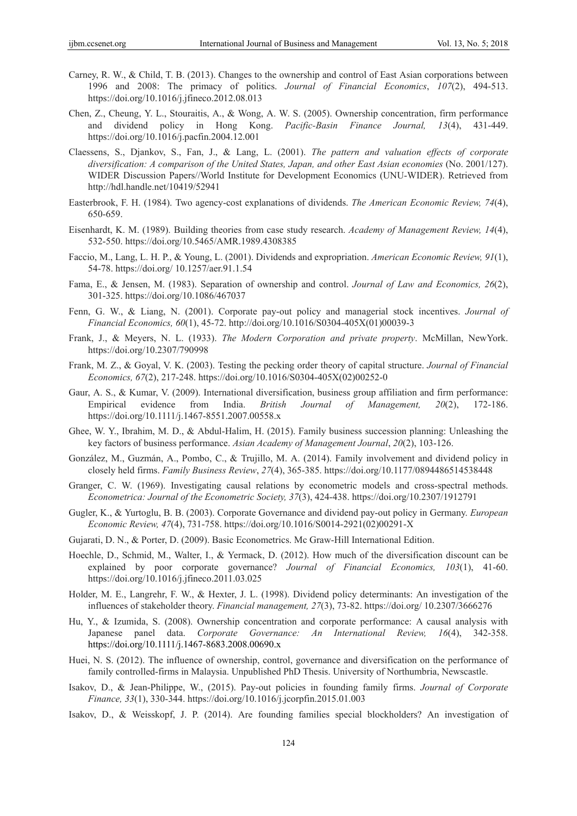- Carney, R. W., & Child, T. B. (2013). Changes to the ownership and control of East Asian corporations between 1996 and 2008: The primacy of politics. *Journal of Financial Economics*, *107*(2), 494-513. https://doi.org/10.1016/j.jfineco.2012.08.013
- Chen, Z., Cheung, Y. L., Stouraitis, A., & Wong, A. W. S. (2005). Ownership concentration, firm performance and dividend policy in Hong Kong. *Pacific-Basin Finance Journal, 13*(4), 431-449. https://doi.org/10.1016/j.pacfin.2004.12.001
- Claessens, S., Djankov, S., Fan, J., & Lang, L. (2001). *The pattern and valuation effects of corporate diversification: A comparison of the United States, Japan, and other East Asian economies* (No. 2001/127). WIDER Discussion Papers//World Institute for Development Economics (UNU-WIDER). Retrieved from http://hdl.handle.net/10419/52941
- Easterbrook, F. H. (1984). Two agency-cost explanations of dividends. *The American Economic Review, 74*(4), 650-659.
- Eisenhardt, K. M. (1989). Building theories from case study research. *Academy of Management Review, 14*(4), 532-550. https://doi.org/10.5465/AMR.1989.4308385
- Faccio, M., Lang, L. H. P., & Young, L. (2001). Dividends and expropriation. *American Economic Review, 91*(1), 54-78. https://doi.org/ 10.1257/aer.91.1.54
- Fama, E., & Jensen, M. (1983). Separation of ownership and control. *Journal of Law and Economics, 26*(2), 301-325. https://doi.org/10.1086/467037
- Fenn, G. W., & Liang, N. (2001). Corporate pay-out policy and managerial stock incentives. *Journal of Financial Economics, 60*(1), 45-72. http://doi.org/10.1016/S0304-405X(01)00039-3
- Frank, J., & Meyers, N. L. (1933). *The Modern Corporation and private property*. McMillan, NewYork. https://doi.org/10.2307/790998
- Frank, M. Z., & Goyal, V. K. (2003). Testing the pecking order theory of capital structure. *Journal of Financial Economics, 67*(2), 217-248. https://doi.org/10.1016/S0304-405X(02)00252-0
- Gaur, A. S., & Kumar, V. (2009). International diversification, business group affiliation and firm performance: Empirical evidence from India. *British Journal of Management, 20*(2), 172-186. https://doi.org/10.1111/j.1467-8551.2007.00558.x
- Ghee, W. Y., Ibrahim, M. D., & Abdul-Halim, H. (2015). Family business succession planning: Unleashing the key factors of business performance. *Asian Academy of Management Journal*, *20*(2), 103-126.
- González, M., Guzmán, A., Pombo, C., & Trujillo, M. A. (2014). Family involvement and dividend policy in closely held firms. *Family Business Review*, *27*(4), 365-385. https://doi.org/10.1177/0894486514538448
- Granger, C. W. (1969). Investigating causal relations by econometric models and cross-spectral methods. *Econometrica: Journal of the Econometric Society, 37*(3), 424-438. https://doi.org/10.2307/1912791
- Gugler, K., & Yurtoglu, B. B. (2003). Corporate Governance and dividend pay-out policy in Germany. *European Economic Review, 47*(4), 731-758. https://doi.org/10.1016/S0014-2921(02)00291-X
- Gujarati, D. N., & Porter, D. (2009). Basic Econometrics. Mc Graw-Hill International Edition.
- Hoechle, D., Schmid, M., Walter, I., & Yermack, D. (2012). How much of the diversification discount can be explained by poor corporate governance? *Journal of Financial Economics, 103*(1), 41-60. https://doi.org/10.1016/j.jfineco.2011.03.025
- Holder, M. E., Langrehr, F. W., & Hexter, J. L. (1998). Dividend policy determinants: An investigation of the influences of stakeholder theory. *Financial management, 27*(3), 73-82. https://doi.org/ 10.2307/3666276
- Hu, Y., & Izumida, S. (2008). Ownership concentration and corporate performance: A causal analysis with Japanese panel data. *Corporate Governance: An International Review, 16*(4), 342-358. https://doi.org/10.1111/j.1467-8683.2008.00690.x
- Huei, N. S. (2012). The influence of ownership, control, governance and diversification on the performance of family controlled-firms in Malaysia. Unpublished PhD Thesis. University of Northumbria, Newscastle.
- Isakov, D., & Jean-Philippe, W., (2015). Pay-out policies in founding family firms. *Journal of Corporate Finance, 33*(1), 330-344. https://doi.org/10.1016/j.jcorpfin.2015.01.003
- Isakov, D., & Weisskopf, J. P. (2014). Are founding families special blockholders? An investigation of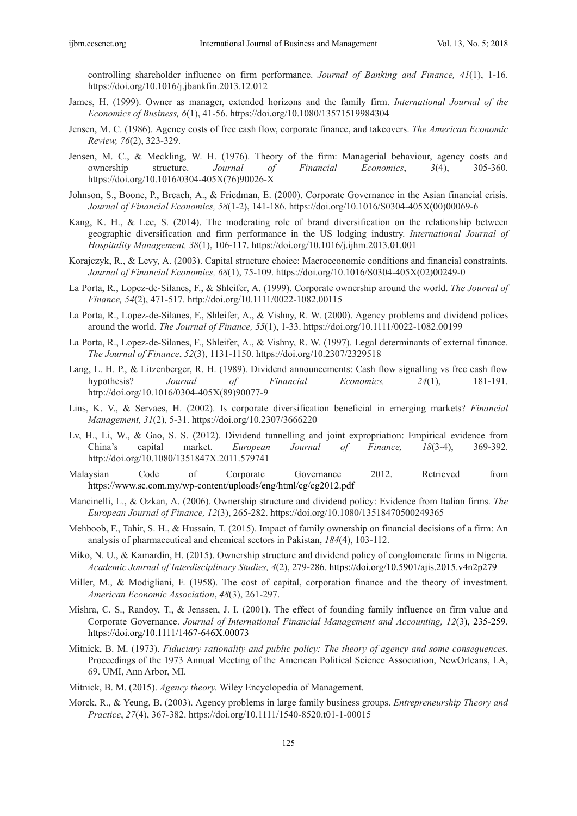controlling shareholder influence on firm performance. *Journal of Banking and Finance, 41*(1), 1-16. https://doi.org/10.1016/j.jbankfin.2013.12.012

- James, H. (1999). Owner as manager, extended horizons and the family firm. *International Journal of the Economics of Business, 6*(1), 41-56. https://doi.org/10.1080/13571519984304
- Jensen, M. C. (1986). Agency costs of free cash flow, corporate finance, and takeovers. *The American Economic Review, 76*(2), 323-329.
- Jensen, M. C., & Meckling, W. H. (1976). Theory of the firm: Managerial behaviour, agency costs and ownership structure. *Journal of Financial Economics*, *3*(4), 305-360. https://doi.org/10.1016/0304-405X(76)90026-X
- Johnson, S., Boone, P., Breach, A., & Friedman, E. (2000). Corporate Governance in the Asian financial crisis. *Journal of Financial Economics, 58*(1-2), 141-186. https://doi.org/10.1016/S0304-405X(00)00069-6
- Kang, K. H., & Lee, S. (2014). The moderating role of brand diversification on the relationship between geographic diversification and firm performance in the US lodging industry. *International Journal of Hospitality Management, 38*(1), 106-117. https://doi.org/10.1016/j.ijhm.2013.01.001
- Korajczyk, R., & Levy, A. (2003). Capital structure choice: Macroeconomic conditions and financial constraints. *Journal of Financial Economics, 68*(1), 75-109. https://doi.org/10.1016/S0304-405X(02)00249-0
- La Porta, R., Lopez-de-Silanes, F., & Shleifer, A. (1999). Corporate ownership around the world. *The Journal of Finance, 54*(2), 471-517. http://doi.org/10.1111/0022-1082.00115
- La Porta, R., Lopez-de-Silanes, F., Shleifer, A., & Vishny, R. W. (2000). Agency problems and dividend polices around the world. *The Journal of Finance, 55*(1), 1-33. https://doi.org/10.1111/0022-1082.00199
- La Porta, R., Lopez-de-Silanes, F., Shleifer, A., & Vishny, R. W. (1997). Legal determinants of external finance. *The Journal of Finance*, *52*(3), 1131-1150. https://doi.org/10.2307/2329518
- Lang, L. H. P., & Litzenberger, R. H. (1989). Dividend announcements: Cash flow signalling vs free cash flow hypothesis? *Journal of Financial Economics, 24*(1), 181-191. http://doi.org/10.1016/0304-405X(89)90077-9
- Lins, K. V., & Servaes, H. (2002). Is corporate diversification beneficial in emerging markets? *Financial Management, 31*(2), 5-31. https://doi.org/10.2307/3666220
- Lv, H., Li, W., & Gao, S. S. (2012). Dividend tunnelling and joint expropriation: Empirical evidence from China's capital market. *European Journal of Finance, 18*(3-4), 369-392. http://doi.org/10.1080/1351847X.2011.579741
- Malaysian Code of Corporate Governance 2012. Retrieved from https://www.sc.com.my/wp-content/uploads/eng/html/cg/cg2012.pdf
- Mancinelli, L., & Ozkan, A. (2006). Ownership structure and dividend policy: Evidence from Italian firms. *The European Journal of Finance, 12*(3), 265-282. https://doi.org/10.1080/13518470500249365
- Mehboob, F., Tahir, S. H., & Hussain, T. (2015). Impact of family ownership on financial decisions of a firm: An analysis of pharmaceutical and chemical sectors in Pakistan, *184*(4), 103-112.
- Miko, N. U., & Kamardin, H. (2015). Ownership structure and dividend policy of conglomerate firms in Nigeria. *Academic Journal of Interdisciplinary Studies, 4*(2), 279-286. https://doi.org/10.5901/ajis.2015.v4n2p279
- Miller, M., & Modigliani, F. (1958). The cost of capital, corporation finance and the theory of investment. *American Economic Association*, *48*(3), 261-297.
- Mishra, C. S., Randoy, T., & Jenssen, J. I. (2001). The effect of founding family influence on firm value and Corporate Governance. *Journal of International Financial Management and Accounting, 12*(3), 235-259. https://doi.org/10.1111/1467-646X.00073
- Mitnick, B. M. (1973). *Fiduciary rationality and public policy: The theory of agency and some consequences.*  Proceedings of the 1973 Annual Meeting of the American Political Science Association, NewOrleans, LA, 69. UMI, Ann Arbor, MI.
- Mitnick, B. M. (2015). *Agency theory.* Wiley Encyclopedia of Management.
- Morck, R., & Yeung, B. (2003). Agency problems in large family business groups. *Entrepreneurship Theory and Practice*, *27*(4), 367-382. https://doi.org/10.1111/1540-8520.t01-1-00015